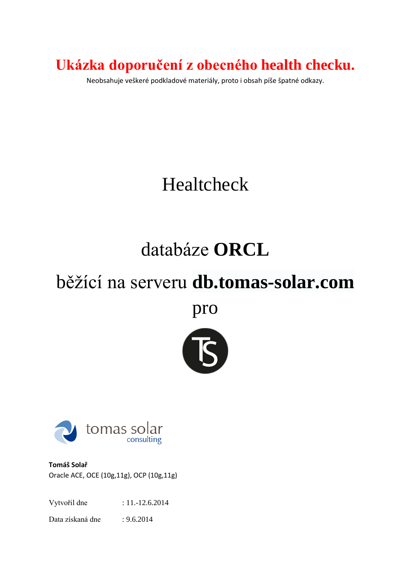**Ukázka doporučení z obecného health checku.**

Neobsahuje veškeré podkladové materiály, proto i obsah píše špatné odkazy.

# Healtcheck

# databáze **ORCL**

# běžící na serveru **db.tomas-solar.com**

pro





**Tomáš Solař** Oracle ACE, OCE (10g,11g), OCP (10g,11g)

Vytvořil dne : 11.-12.6.2014

Data získaná dne : 9.6.2014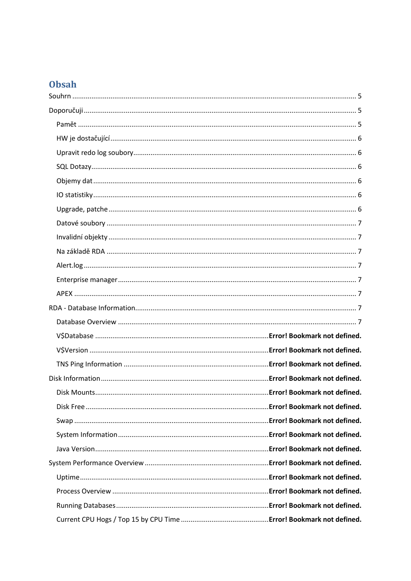## Obsah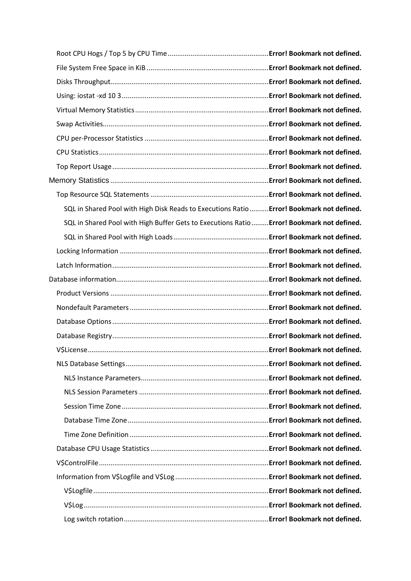| SQL in Shared Pool with High Disk Reads to Executions Ratio  Error! Bookmark not defined.  |  |
|--------------------------------------------------------------------------------------------|--|
| SQL in Shared Pool with High Buffer Gets to Executions Ratio  Error! Bookmark not defined. |  |
|                                                                                            |  |
|                                                                                            |  |
|                                                                                            |  |
|                                                                                            |  |
|                                                                                            |  |
|                                                                                            |  |
|                                                                                            |  |
|                                                                                            |  |
|                                                                                            |  |
|                                                                                            |  |
|                                                                                            |  |
|                                                                                            |  |
|                                                                                            |  |
|                                                                                            |  |
|                                                                                            |  |
|                                                                                            |  |
|                                                                                            |  |
|                                                                                            |  |
|                                                                                            |  |
|                                                                                            |  |
|                                                                                            |  |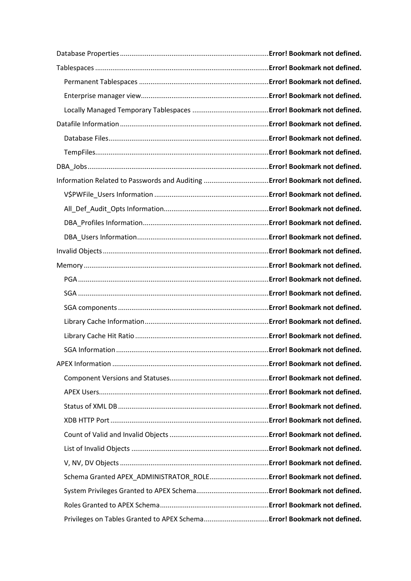| Schema Granted APEX_ADMINISTRATOR_ROLE Error! Bookmark not defined. |  |
|---------------------------------------------------------------------|--|
|                                                                     |  |
|                                                                     |  |
|                                                                     |  |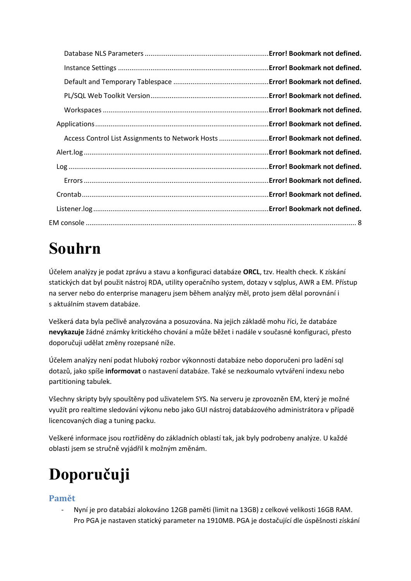| Access Control List Assignments to Network Hosts  Error! Bookmark not defined. |  |
|--------------------------------------------------------------------------------|--|
|                                                                                |  |
|                                                                                |  |
|                                                                                |  |
|                                                                                |  |
|                                                                                |  |
|                                                                                |  |

# <span id="page-4-0"></span>**Souhrn**

Účelem analýzy je podat zprávu a stavu a konfiguraci databáze **ORCL**, tzv. Health check. K získání statických dat byl použit nástroj RDA, utility operačního system, dotazy v sqlplus, AWR a EM. Přístup na server nebo do enterprise manageru jsem během analýzy měl, proto jsem dělal porovnání i s aktuálním stavem databáze.

Veškerá data byla pečlivě analyzována a posuzována. Na jejich základě mohu říci, že databáze **nevykazuje** žádné známky kritického chování a může běžet i nadále v současné konfiguraci, přesto doporučuji udělat změny rozepsané níže.

Účelem analýzy není podat hluboký rozbor výkonnosti databáze nebo doporučeni pro ladění sql dotazů, jako spíše **informovat** o nastavení databáze. Také se nezkoumalo vytváření indexu nebo partitioning tabulek.

Všechny skripty byly spouštěny pod uživatelem SYS. Na serveru je zprovozněn EM, který je možné využít pro realtime sledování výkonu nebo jako GUI nástroj databázového administrátora v případě licencovaných diag a tuning packu.

Veškeré informace jsou roztříděny do základních oblastí tak, jak byly podrobeny analýze. U každé oblasti jsem se stručně vyjádřil k možným změnám.

# <span id="page-4-1"></span>**Doporučuji**

## <span id="page-4-2"></span>**Pamět**

- Nyní je pro databázi alokováno 12GB paměti (limit na 13GB) z celkové velikosti 16GB RAM. Pro PGA je nastaven statický parameter na 1910MB. PGA je dostačující dle úspěšnosti získání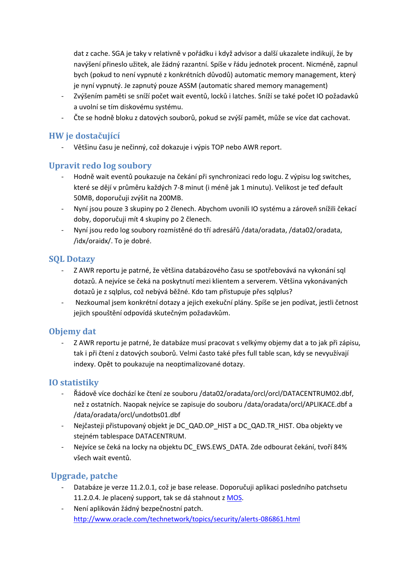dat z cache. SGA je taky v relativně v pořádku i když advisor a další ukazalete indikují, že by navýšení přineslo užitek, ale žádný razantní. Spíše v řádu jednotek procent. Nicméně, zapnul bych (pokud to není vypnuté z konkrétních důvodů) automatic memory management, který je nyní vypnutý. Je zapnutý pouze ASSM (automatic shared memory management)

- Zvýšením paměti se sníží počet wait eventů, locků i latches. Sníží se také počet IO požadavků a uvolní se tím diskovému systému.
- Čte se hodně bloku z datových souborů, pokud se zvýší pamět, může se více dat cachovat.

### <span id="page-5-0"></span>**HW je dostačující**

- Většinu času je nečinný, což dokazuje i výpis TOP nebo AWR report.

### <span id="page-5-1"></span>**Upravit redo log soubory**

- Hodně wait eventů poukazuje na čekání při synchronizaci redo logu. Z výpisu log switches, které se dějí v průměru každých 7-8 minut (i méně jak 1 minutu). Velikost je teď default 50MB, doporučuji zvýšit na 200MB.
- Nyní jsou pouze 3 skupiny po 2 členech. Abychom uvonili IO systému a zároveň snížili čekací doby, doporučuji mít 4 skupiny po 2 členech.
- Nyní jsou redo log soubory rozmístěné do tří adresářů /data/oradata, /data02/oradata, /idx/oraidx/. To je dobré.

### <span id="page-5-2"></span>**SQL Dotazy**

- Z AWR reportu je patrné, že většina databázového času se spotřebovává na vykonání sql dotazů. A nejvíce se čeká na poskytnutí mezi klientem a serverem. Většina vykonávaných dotazů je z sqlplus, což nebývá běžné. Kdo tam přistupuje přes sqlplus?
- Nezkoumal jsem konkrétní dotazy a jejich exekuční plány. Spíše se jen podívat, jestli četnost jejich spouštění odpovídá skutečným požadavkům.

## <span id="page-5-3"></span>**Objemy dat**

- Z AWR reportu je patrné, že databáze musí pracovat s velkýmy objemy dat a to jak při zápisu, tak i při čtení z datových souborů. Velmi často také přes full table scan, kdy se nevyužívají indexy. Opět to poukazuje na neoptimalizované dotazy.

## <span id="page-5-4"></span>**IO statistiky**

- Řádově více dochází ke čtení ze souboru /data02/oradata/orcl/orcl/DATACENTRUM02.dbf, než z ostatních. Naopak nejvíce se zapisuje do souboru /data/oradata/orcl/APLIKACE.dbf a /data/oradata/orcl/undotbs01.dbf
- Nejčasteji přistupovaný objekt je DC\_QAD.OP\_HIST a DC\_QAD.TR\_HIST. Oba objekty ve stejném tablespace DATACENTRUM.
- Nejvíce se čeká na locky na objektu DC\_EWS.EWS\_DATA. Zde odbourat čekání, tvoří 84% všech wait eventů.

## <span id="page-5-5"></span>**Upgrade, patche**

- Databáze je verze 11.2.0.1, což je base release. Doporučuji aplikaci posledního patchsetu 11.2.0.4. Je placený support, tak se dá stahnout z [MOS.](https://support.oracle.com/)
- Není aplikován žádný bezpečnostní patch. <http://www.oracle.com/technetwork/topics/security/alerts-086861.html>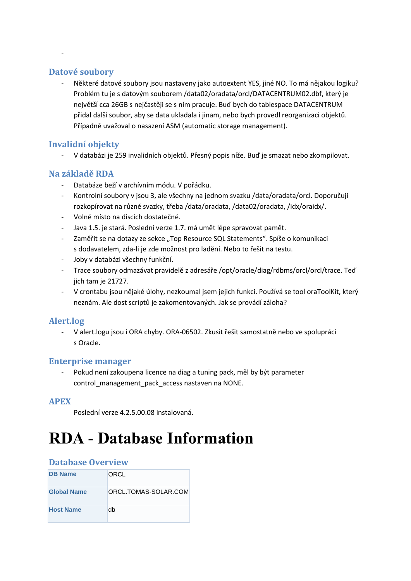#### <span id="page-6-0"></span>**Datové soubory**

-

- Některé datové soubory jsou nastaveny jako autoextent YES, jiné NO. To má nějakou logiku? Problém tu je s datovým souborem /data02/oradata/orcl/DATACENTRUM02.dbf, který je největší cca 26GB s nejčastěji se s ním pracuje. Buď bych do tablespace DATACENTRUM přidal další soubor, aby se data ukladala i jinam, nebo bych provedl reorganizaci objektů. Případně uvažoval o nasazení ASM (automatic storage management).

#### <span id="page-6-1"></span>**Invalidní objekty**

- V databázi je 259 invalidních objektů. Přesný popis níže. Buď je smazat nebo zkompilovat.

#### <span id="page-6-2"></span>**Na základě RDA**

- Databáze beží v archívním módu. V pořádku.
- Kontrolní soubory v jsou 3, ale všechny na jednom svazku /data/oradata/orcl. Doporučuji rozkopírovat na různé svazky, třeba /data/oradata, /data02/oradata, /idx/oraidx/.
- Volné místo na discích dostatečné.
- Java 1.5. je stará. Poslední verze 1.7. má umět lépe spravovat pamět.
- Zaměřit se na dotazy ze sekce "Top Resource SQL Statements". Spíše o komunikaci s dodavatelem, zda-li je zde možnost pro ladění. Nebo to řešit na testu.
- Joby v databázi všechny funkční.
- Trace soubory odmazávat pravidelě z adresáře /opt/oracle/diag/rdbms/orcl/orcl/trace. Teď jich tam je 21727.
- V crontabu jsou nějaké úlohy, nezkoumal jsem jejich funkci. Používá se tool oraToolKit, který neznám. Ale dost scriptů je zakomentovaných. Jak se provádí záloha?

#### <span id="page-6-3"></span>**Alert.log**

- V alert.logu jsou i ORA chyby. ORA-06502. Zkusit řešit samostatně nebo ve spolupráci s Oracle.

#### <span id="page-6-4"></span>**Enterprise manager**

Pokud není zakoupena licence na diag a tuning pack, měl by být parameter control\_management\_pack\_access nastaven na NONE.

#### <span id="page-6-5"></span>**APEX**

Poslední verze 4.2.5.00.08 instalovaná.

# <span id="page-6-6"></span>**RDA - Database Information**

#### <span id="page-6-7"></span>**Database Overview**

| <b>DB Name</b>     | ORCL                 |
|--------------------|----------------------|
| <b>Global Name</b> | ORCL.TOMAS-SOLAR.COM |
| <b>Host Name</b>   | dh                   |